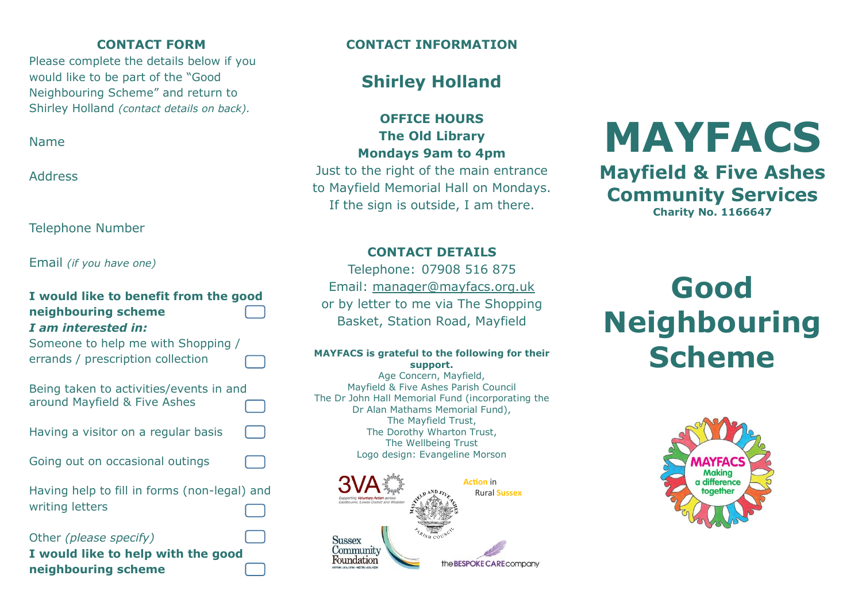### **CONTACT FORM**

Please complete the details below if you would like to be part of the "Good Neighbouring Scheme" and return to Shirley Holland *(contact details on back).*

Name

Address

Telephone Number

Email *(if you have one)*

| I would like to benefit from the good<br>neighbouring scheme<br>I am interested in: |  |
|-------------------------------------------------------------------------------------|--|
| Someone to help me with Shopping /<br>errands / prescription collection             |  |
| Being taken to activities/events in and<br>around Mayfield & Five Ashes             |  |
| Having a visitor on a regular basis                                                 |  |
| Going out on occasional outings                                                     |  |
| Having help to fill in forms (non-legal) and<br>writing letters                     |  |
| Other (please specify)<br>I would like to help with the good<br>neighbouring scheme |  |

### **CONTACT INFORMATION**

### **Shirley Holland**

**OFFICE HOURS The Old Library Mondays 9am to 4pm**

Just to the right of the main entrance to Mayfield Memorial Hall on Mondays. If the sign is outside, I am there.

### **CONTACT DETAILS**

Telephone: 07908 516 875 Email: [manager@mayfacs.org.uk](mailto:manager@mayfacs.org.uk) or by letter to me via The Shopping Basket, Station Road, Mayfield

### **MAYFACS is grateful to the following for their support.**

Age Concern, Mayfield, Mayfield & Five Ashes Parish Council The Dr John Hall Memorial Fund (incorporating the Dr Alan Mathams Memorial Fund), The Mayfield Trust, The Dorothy Wharton Trust, The Wellbeing Trust Logo design: Evangeline Morson



# **MAYFACS**

**Mayfield & Five Ashes Community Services Charity No. 1166647**

## **Good Neighbouring Scheme**